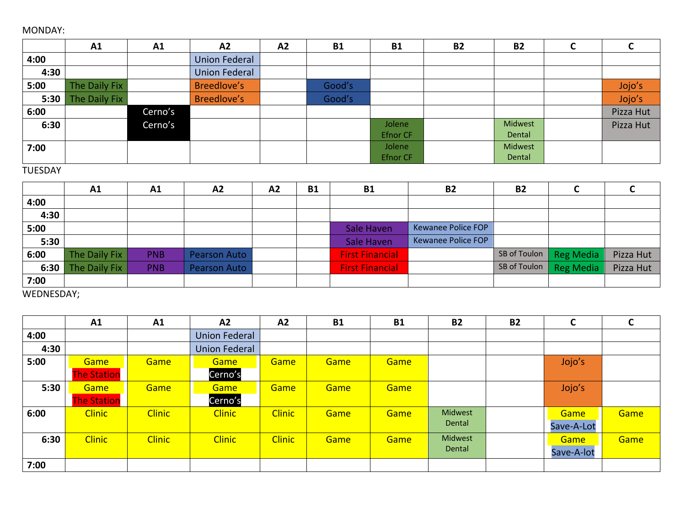## MONDAY:

|      | A1            | A1      | A2                   | A2 | <b>B1</b> | <b>B1</b>       | <b>B2</b> | <b>B2</b> | ◡         |
|------|---------------|---------|----------------------|----|-----------|-----------------|-----------|-----------|-----------|
| 4:00 |               |         | <b>Union Federal</b> |    |           |                 |           |           |           |
| 4:30 |               |         | <b>Union Federal</b> |    |           |                 |           |           |           |
| 5:00 | The Daily Fix |         | Breedlove's          |    | Good's    |                 |           |           | Jojo's    |
| 5:30 | The Daily Fix |         | Breedlove's          |    | Good's    |                 |           |           | Jojo's    |
| 6:00 |               | Cerno's |                      |    |           |                 |           |           | Pizza Hut |
| 6:30 |               | Cerno's |                      |    |           | Jolene          |           | Midwest   | Pizza Hut |
|      |               |         |                      |    |           | <b>Efnor CF</b> |           | Dental    |           |
| 7:00 |               |         |                      |    |           | Jolene          |           | Midwest   |           |
|      |               |         |                      |    |           | <b>Efnor CF</b> |           | Dental    |           |

## TUESDAY

|      | A1            | A1         | A2                  | A2 | <b>B1</b> | <b>B1</b>              | <b>B2</b>          | <b>B2</b> |                        |           |
|------|---------------|------------|---------------------|----|-----------|------------------------|--------------------|-----------|------------------------|-----------|
| 4:00 |               |            |                     |    |           |                        |                    |           |                        |           |
| 4:30 |               |            |                     |    |           |                        |                    |           |                        |           |
| 5:00 |               |            |                     |    |           | Sale Haven             | Kewanee Police FOP |           |                        |           |
| 5:30 |               |            |                     |    |           | Sale Haven             | Kewanee Police FOP |           |                        |           |
| 6:00 | The Daily Fix | <b>PNB</b> | <b>Pearson Auto</b> |    |           | <b>First Financial</b> |                    |           | SB of Toulon Reg Media | Pizza Hut |
| 6:30 | The Daily Fix | <b>PNB</b> | <b>Pearson Auto</b> |    |           | <b>First Financial</b> |                    |           | SB of Toulon Reg Media | Pizza Hut |
| 7:00 |               |            |                     |    |           |                        |                    |           |                        |           |

WEDNESDAY;

|      | A1                 | A1            | A2                   | A2            | <b>B1</b> | <b>B1</b> | <b>B2</b> | <b>B2</b> | C          | U    |
|------|--------------------|---------------|----------------------|---------------|-----------|-----------|-----------|-----------|------------|------|
| 4:00 |                    |               | <b>Union Federal</b> |               |           |           |           |           |            |      |
| 4:30 |                    |               | <b>Union Federal</b> |               |           |           |           |           |            |      |
| 5:00 | Game               | Game          | Game                 | Game          | Game      | Game      |           |           | Jojo's     |      |
|      | <b>The Station</b> |               | Cerno's              |               |           |           |           |           |            |      |
| 5:30 | Game               | Game          | Game                 | Game          | Game      | Game      |           |           | Jojo's     |      |
|      | <b>The Station</b> |               | Cerno's              |               |           |           |           |           |            |      |
| 6:00 | <b>Clinic</b>      | <b>Clinic</b> | <b>Clinic</b>        | <b>Clinic</b> | Game      | Game      | Midwest   |           | Game       | Game |
|      |                    |               |                      |               |           |           | Dental    |           | Save-A-Lot |      |
| 6:30 | <b>Clinic</b>      | <b>Clinic</b> | <b>Clinic</b>        | <b>Clinic</b> | Game      | Game      | Midwest   |           | Game       | Game |
|      |                    |               |                      |               |           |           | Dental    |           | Save-A-lot |      |
| 7:00 |                    |               |                      |               |           |           |           |           |            |      |